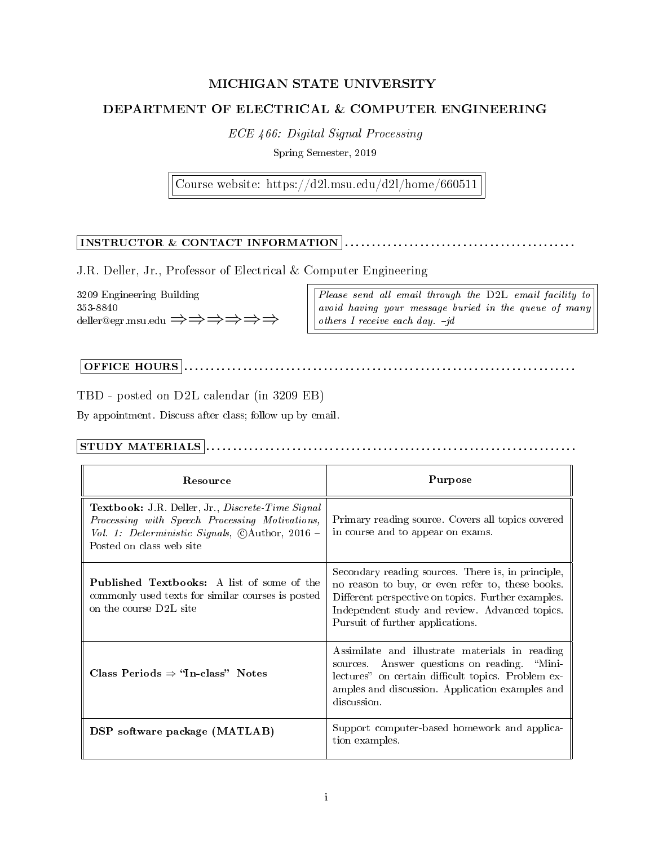# MICHIGAN STATE UNIVERSITY

# DEPARTMENT OF ELECTRICAL & COMPUTER ENGINEERING

ECE 466: Digital Signal Processing

Spring Semester, 2019

Course website: https://d2l.msu.edu/d2l/home/660511

# INSTRUCTOR & CONTACT INFORMATION . . . . . . . . . . . . . . . . . . . . . . . . . . . . . . . . . . . . . . . . . . .

J.R. Deller, Jr., Professor of Electrical & Computer Engineering

3209 Engineering Building 353-8840 deller@egr.msu.edu ⇒⇒⇒⇒⇒⇒ Please send all email through the D2L email facility to avoid having your message buried in the queue of many others I receive each day.  $-jd$ 

# OFFICE HOURS . . . . . . . . . . . . . . . . . . . . . . . . . . . . . . . . . . . . . . . . . . . . . . . . . . . . . . . . . . . . . . . . . . . . . . . . .

TBD - posted on D2L calendar (in 3209 EB)

By appointment. Discuss after class; follow up by email.

## STUDY MATERIALS . . . . . . . . . . . . . . . . . . . . . . . . . . . . . . . . . . . . . . . . . . . . . . . . . . . . . . . . . . . . . . . . . . . . .

| Resource                                                                                                                                                                                              | Purpose                                                                                                                                                                                                                                            |  |
|-------------------------------------------------------------------------------------------------------------------------------------------------------------------------------------------------------|----------------------------------------------------------------------------------------------------------------------------------------------------------------------------------------------------------------------------------------------------|--|
| <b>Textbook:</b> J.R. Deller, Jr., <i>Discrete Time Signal</i><br>Processing with Speech Processing Motivations,<br>Vol. 1: Deterministic Signals, $\odot$ Author, 2016 –<br>Posted on class web site | Primary reading source. Covers all topics covered<br>in course and to appear on exams.                                                                                                                                                             |  |
| <b>Published Textbooks:</b> A list of some of the<br>commonly used texts for similar courses is posted<br>on the course D2L site                                                                      | Secondary reading sources. There is, in principle,<br>no reason to buy, or even refer to, these books.<br>Different perspective on topics. Further examples.<br>Independent study and review. Advanced topics.<br>Pursuit of further applications. |  |
| Class Periods $\Rightarrow$ "In-class" Notes                                                                                                                                                          | Assimilate and illustrate materials in reading<br>sources. Answer questions on reading. "Mini-<br>lectures" on certain difficult topics. Problem ex-<br>amples and discussion. Application examples and<br>discussion.                             |  |
| DSP software package (MATLAB)                                                                                                                                                                         | Support computer-based homework and applica-<br>tion examples.                                                                                                                                                                                     |  |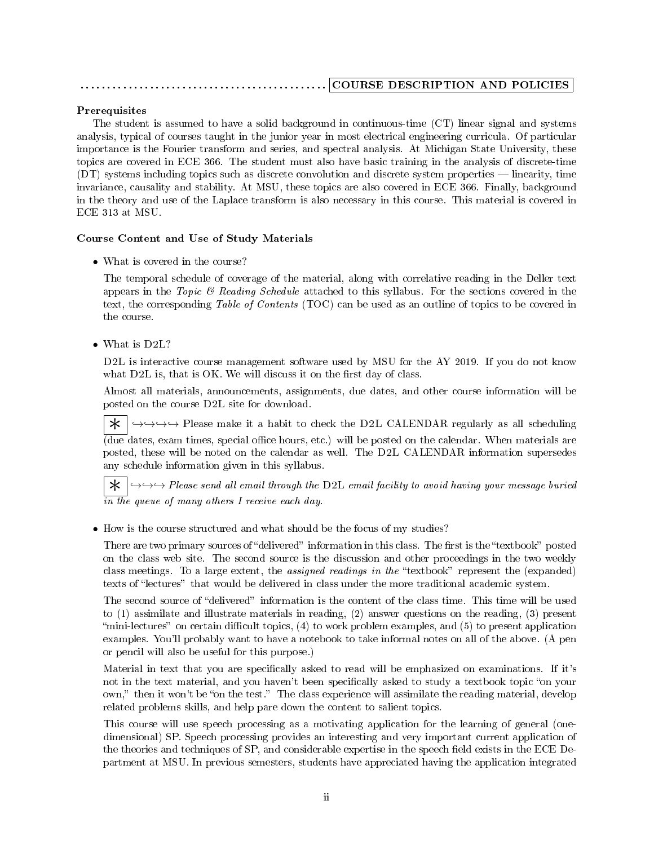## . . . . . . . . . . . . . . . . . . . . . . . . . . . . . . . . . . . . . . . . . . . . . . COURSE DESCRIPTION AND POLICIES

## Prerequisites

The student is assumed to have a solid background in continuous-time (CT) linear signal and systems analysis, typical of courses taught in the junior year in most electrical engineering curricula. Of particular importance is the Fourier transform and series, and spectral analysis. At Michigan State University, these topics are covered in ECE 366. The student must also have basic training in the analysis of discrete-time (DT) systems including topics such as discrete convolution and discrete system properties linearity, time invariance, causality and stability. At MSU, these topics are also covered in ECE 366. Finally, background in the theory and use of the Laplace transform is also necessary in this course. This material is covered in ECE 313 at MSU.

### Course Content and Use of Study Materials

• What is covered in the course?

The temporal schedule of coverage of the material, along with correlative reading in the Deller text appears in the Topic  $\mathcal B$  Reading Schedule attached to this syllabus. For the sections covered in the text, the corresponding Table of Contents (TOC) can be used as an outline of topics to be covered in the course.

• What is D2L?

D2L is interactive course management software used by MSU for the AY 2019. If you do not know what  $D2L$  is, that is OK. We will discuss it on the first day of class.

Almost all materials, announcements, assignments, due dates, and other course information will be posted on the course D2L site for download.

 $\star$   $\mapsto$  →→→→ Please make it a habit to check the D2L CALENDAR regularly as all scheduling  $\overline{A}_{\text{due}}$  dates, exam times, special office hours, etc.) will be posted on the calendar. When materials are posted, these will be noted on the calendar as well. The D2L CALENDAR information supersedes any schedule information given in this syllabus.

 $\overline{\mathbf{\ast}}$   $\rightarrow$   $\rightarrow$   $\rightarrow$  Please send all email through the D2L email facility to avoid having your message buried in the queue of many others I receive each day.

• How is the course structured and what should be the focus of my studies?

There are two primary sources of "delivered" information in this class. The first is the "textbook" posted on the class web site. The second source is the discussion and other proceedings in the two weekly class meetings. To a large extent, the *assigned readings in the* "textbook" represent the (expanded) texts of "lectures" that would be delivered in class under the more traditional academic system.

The second source of "delivered" information is the content of the class time. This time will be used to (1) assimilate and illustrate materials in reading, (2) answer questions on the reading, (3) present "mini-lectures" on certain difficult topics,  $(4)$  to work problem examples, and  $(5)$  to present application examples. You'll probably want to have a notebook to take informal notes on all of the above. (A pen or pencil will also be useful for this purpose.)

Material in text that you are specifically asked to read will be emphasized on examinations. If it's not in the text material, and you haven't been specifically asked to study a textbook topic "on your own," then it won't be "on the test." The class experience will assimilate the reading material, develop related problems skills, and help pare down the content to salient topics.

This course will use speech processing as a motivating application for the learning of general (onedimensional) SP. Speech processing provides an interesting and very important current application of the theories and techniques of SP, and considerable expertise in the speech field exists in the ECE Department at MSU. In previous semesters, students have appreciated having the application integrated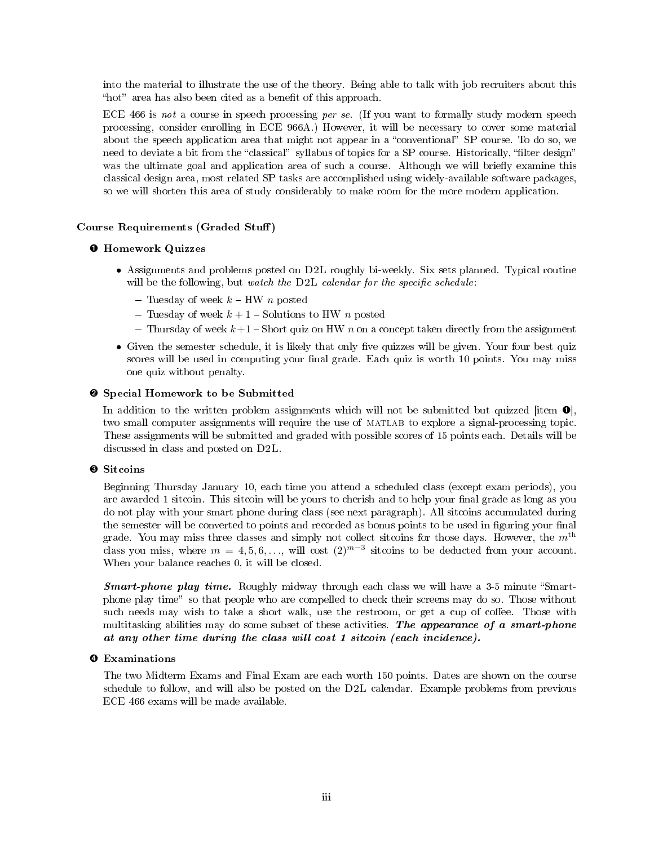into the material to illustrate the use of the theory. Being able to talk with job recruiters about this "hot" area has also been cited as a benefit of this approach.

ECE 466 is not a course in speech processing per se. (If you want to formally study modern speech processing, consider enrolling in ECE 966A.) However, it will be necessary to cover some material about the speech application area that might not appear in a "conventional" SP course. To do so, we need to deviate a bit from the "classical" syllabus of topics for a SP course. Historically, "filter design" was the ultimate goal and application area of such a course. Although we will briefly examine this classical design area, most related SP tasks are accomplished using widely-available software packages, so we will shorten this area of study considerably to make room for the more modern application.

#### Course Requirements (Graded Stuff)

#### ➊ Homework Quizzes

- Assignments and problems posted on D2L roughly bi-weekly. Six sets planned. Typical routine will be the following, but watch the  $D2L$  calendar for the specific schedule:
	- Tuesday of week  $k$  HW n posted
	- Tuesday of week  $k + 1$  Solutions to HW n posted
	- Thursday of week  $k+1$  Short quiz on HW n on a concept taken directly from the assignment
- $\bullet$  Given the semester schedule, it is likely that only five quizzes will be given. Your four best quiz scores will be used in computing your final grade. Each quiz is worth 10 points. You may miss one quiz without penalty.

#### ➋ Special Homework to be Submitted

In addition to the written problem assignments which will not be submitted but quizzed [item  $\bullet$ ], two small computer assignments will require the use of matlab to explore a signal-processing topic. These assignments will be submitted and graded with possible scores of 15 points each. Details will be discussed in class and posted on D2L.

#### ➌ Sitcoins

Beginning Thursday January 10, each time you attend a scheduled class (except exam periods), you are awarded 1 sitcoin. This sitcoin will be yours to cherish and to help your final grade as long as you do not play with your smart phone during class (see next paragraph). All sitcoins accumulated during the semester will be converted to points and recorded as bonus points to be used in figuring your final grade. You may miss three classes and simply not collect sitcoins for those days. However, the  $m<sup>th</sup>$ class you miss, where  $m = 4, 5, 6, \ldots$ , will cost  $(2)^{m-3}$  sitcoins to be deducted from your account. When your balance reaches 0, it will be closed.

**Smart-phone play time.** Roughly midway through each class we will have a 3-5 minute "Smartphone play time" so that people who are compelled to check their screens may do so. Those without such needs may wish to take a short walk, use the restroom, or get a cup of coffee. Those with multitasking abilities may do some subset of these activities. The appearance of a smart-phone at any other time during the class will cost 1 sitcoin (each incidence).

#### ➍ Examinations

The two Midterm Exams and Final Exam are each worth 150 points. Dates are shown on the course schedule to follow, and will also be posted on the D2L calendar. Example problems from previous ECE 466 exams will be made available.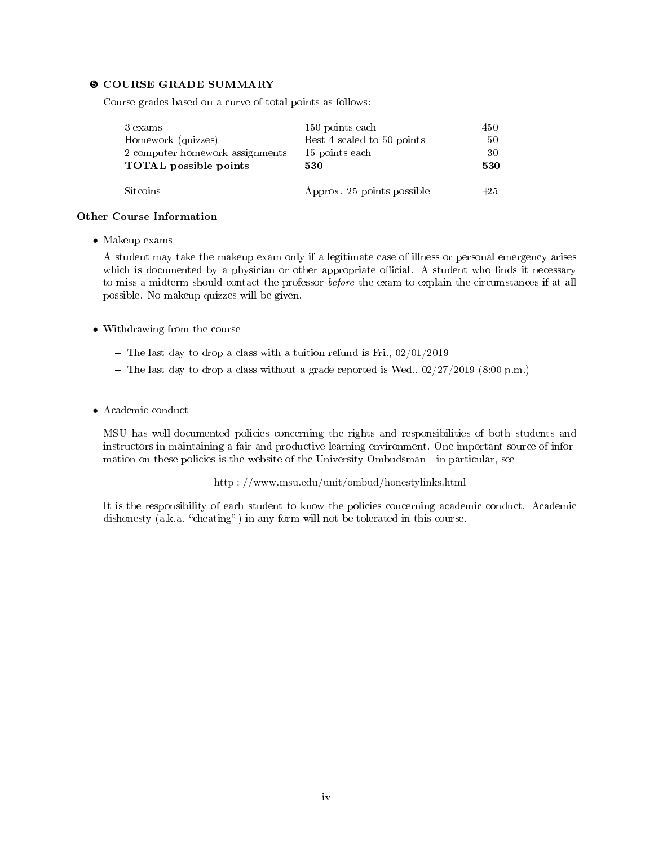#### ➎ COURSE GRADE SUMMARY

Course grades based on a curve of total points as follows:

| 3 exams                         | 150 points each            | 450.  |
|---------------------------------|----------------------------|-------|
| Homework (quizzes)              | Best 4 scaled to 50 points | 50    |
| 2 computer homework assignments | 15 points each             | 30    |
| <b>TOTAL</b> possible points    | 530                        | 530   |
|                                 |                            |       |
| Sitcoins                        | Approx. 25 points possible | $+25$ |

#### Other Course Information

• Makeup exams

A student may take the makeup exam only if a legitimate case of illness or personal emergency arises which is documented by a physician or other appropriate official. A student who finds it necessary to miss a midterm should contact the professor before the exam to explain the circumstances if at all possible. No makeup quizzes will be given.

- Withdrawing from the course
	- The last day to drop a class with a tuition refund is Fri.,  $02/01/2019$
	- The last day to drop a class without a grade reported is Wed.,  $02/27/2019$  (8:00 p.m.)
- Academic conduct

MSU has well-documented policies concerning the rights and responsibilities of both students and instructors in maintaining a fair and productive learning environment. One important source of information on these policies is the website of the University Ombudsman - in particular, see

http : //www.msu.edu/unit/ombud/honestylinks.html

It is the responsibility of each student to know the policies concerning academic conduct. Academic dishonesty (a.k.a. "cheating") in any form will not be tolerated in this course.